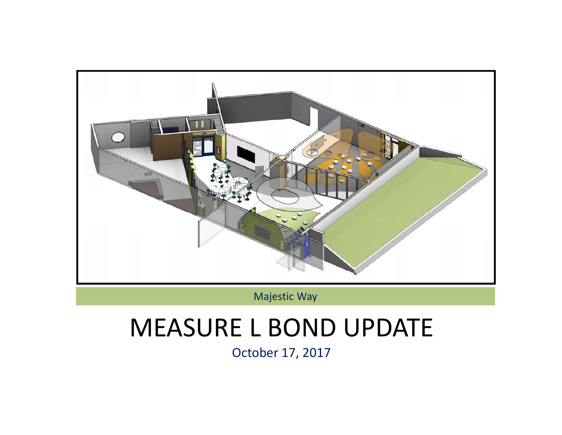

Majestic Way

# MEASURE L BOND UPDATE

October 17, 2017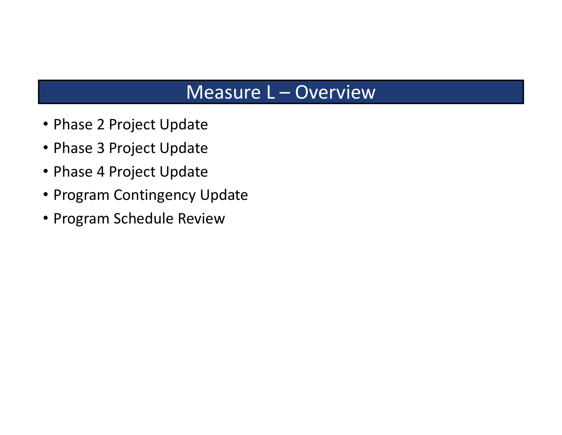### Measure L – Overview

- Phase 2 Project Update
- Phase 3 Project Update
- Phase 4 Project Update
- Program Contingency Update
- Program Schedule Review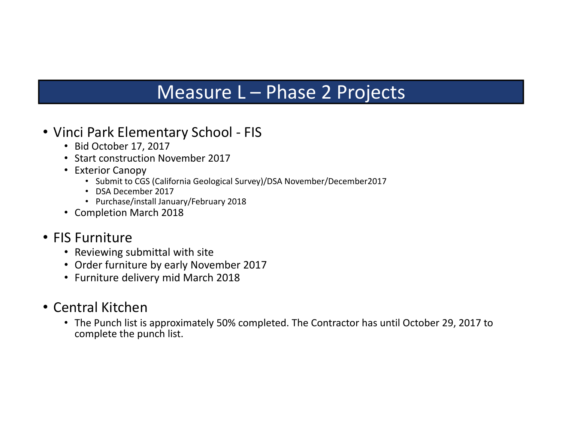### Measure L – Phase 2 Projects

- Vinci Park Elementary School ‐ FIS
	- Bid October 17, 2017
	- Start construction November 2017
	- Exterior Canopy
		- Submit to CGS (California Geological Survey)/DSA November/December2017
		- DSA December 2017
		- Purchase/install January/February 2018
	- Completion March 2018

#### • FIS Furniture

- Reviewing submittal with site
- Order furniture by early November 2017
- Furniture delivery mid March 2018
- Central Kitchen
	- The Punch list is approximately 50% completed. The Contractor has until October 29, 2017 to complete the punch list.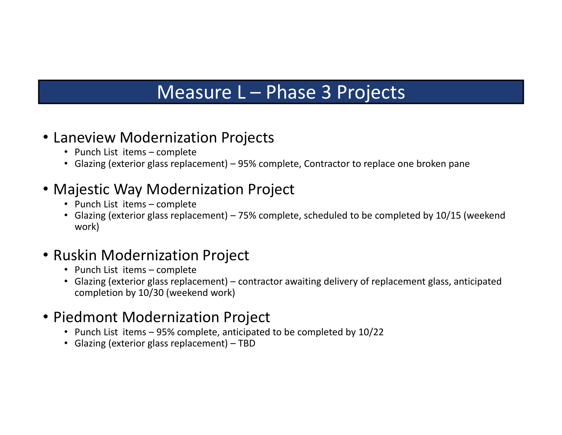### Measure L – Phase 3 Projects

#### • Laneview Modernization Projects

- Punch List items complete
- Glazing (exterior glass replacement) 95% complete, Contractor to replace one broken pane

### • Majestic Way Modernization Project

- Punch List items complete
- Glazing (exterior glass replacement) 75% complete, scheduled to be completed by 10/15 (weekend work)

### • Ruskin Modernization Project

- Punch List items complete
- Glazing (exterior glass replacement) contractor awaiting delivery of replacement glass, anticipated completion by 10/30 (weekend work)

### • Piedmont Modernization Project

- Punch List items 95% complete, anticipated to be completed by 10/22
- Glazing (exterior glass replacement) TBD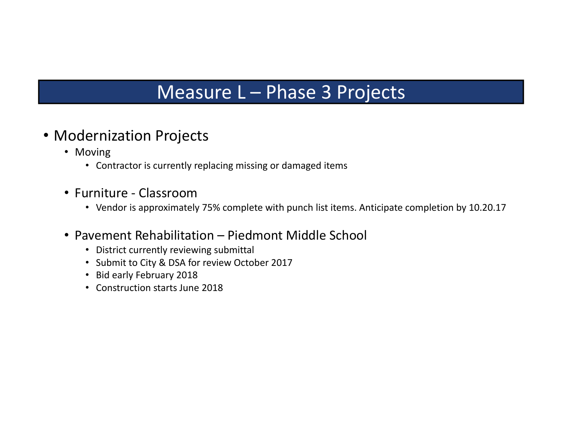### Measure L – Phase 3 Projects

#### • Modernization Projects

- Moving
	- Contractor is currently replacing missing or damaged items
- Furniture ‐ Classroom
	- Vendor is approximately 75% complete with punch list items. Anticipate completion by 10.20.17
- Pavement Rehabilitation Piedmont Middle School
	- District currently reviewing submittal
	- Submit to City & DSA for review October 2017
	- Bid early February 2018
	- Construction starts June 2018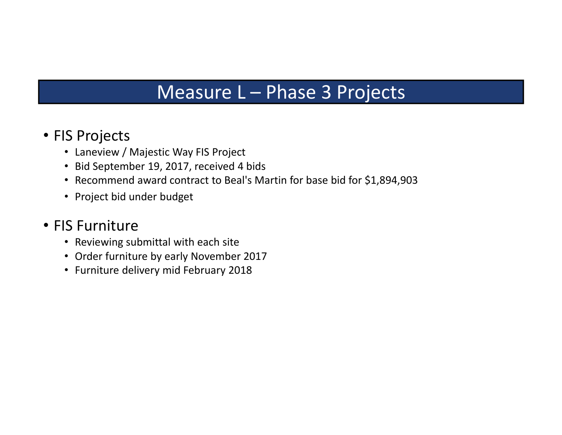### Measure L – Phase 3 Projects

#### • FIS Projects

- Laneview / Majestic Way FIS Project
- Bid September 19, 2017, received 4 bids
- Recommend award contract to Beal's Martin for base bid for \$1,894,903
- Project bid under budget

#### • FIS Furniture

- Reviewing submittal with each site
- Order furniture by early November 2017
- Furniture delivery mid February 2018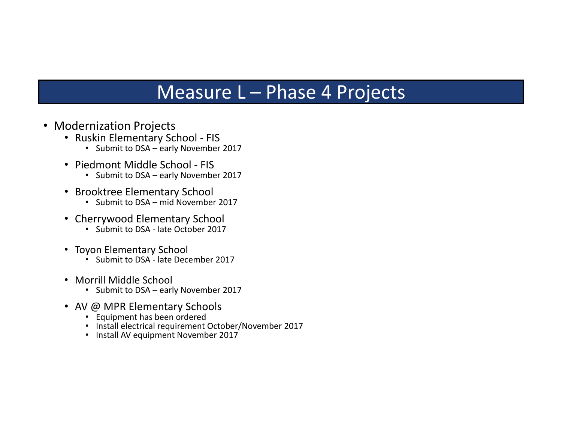### Measure L – Phase 4 Projects

- Modernization Projects
	- Ruskin Elementary School ‐ FIS
		- Submit to DSA early November 2017
	- Piedmont Middle School ‐ FIS
		- Submit to DSA early November 2017
	- Brooktree Elementary School
		- Submit to DSA mid November 2017
	- Cherrywood Elementary School
		- Submit to DSA ‐ late October 2017
	- Toyon Elementary School
		- Submit to DSA ‐ late December 2017
	- Morrill Middle School
		- Submit to DSA early November 2017
	- AV @ MPR Elementary Schools
		- Equipment has been ordered
		- Install electrical requirement October/November 2017
		- Install AV equipment November 2017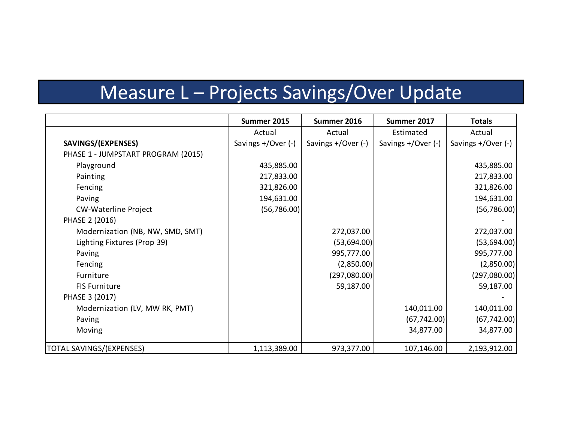## Measure L – Projects Savings/Over Update

|                                    | Summer 2015        | Summer 2016        | Summer 2017        | <b>Totals</b>      |
|------------------------------------|--------------------|--------------------|--------------------|--------------------|
|                                    | Actual             | Actual             | Estimated          | Actual             |
| SAVINGS/(EXPENSES)                 | Savings +/Over (-) | Savings +/Over (-) | Savings +/Over (-) | Savings +/Over (-) |
| PHASE 1 - JUMPSTART PROGRAM (2015) |                    |                    |                    |                    |
| Playground                         | 435,885.00         |                    |                    | 435,885.00         |
| Painting                           | 217,833.00         |                    |                    | 217,833.00         |
| Fencing                            | 321,826.00         |                    |                    | 321,826.00         |
| Paving                             | 194,631.00         |                    |                    | 194,631.00         |
| <b>CW-Waterline Project</b>        | (56, 786.00)       |                    |                    | (56, 786.00)       |
| PHASE 2 (2016)                     |                    |                    |                    |                    |
| Modernization (NB, NW, SMD, SMT)   |                    | 272,037.00         |                    | 272,037.00         |
| Lighting Fixtures (Prop 39)        |                    | (53,694.00)        |                    | (53,694.00)        |
| Paving                             |                    | 995,777.00         |                    | 995,777.00         |
| Fencing                            |                    | (2,850.00)         |                    | (2,850.00)         |
| Furniture                          |                    | (297,080.00)       |                    | (297,080.00)       |
| <b>FIS Furniture</b>               |                    | 59,187.00          |                    | 59,187.00          |
| PHASE 3 (2017)                     |                    |                    |                    |                    |
| Modernization (LV, MW RK, PMT)     |                    |                    | 140,011.00         | 140,011.00         |
| Paving                             |                    |                    | (67, 742.00)       | (67, 742.00)       |
| Moving                             |                    |                    | 34,877.00          | 34,877.00          |
| TOTAL SAVINGS/(EXPENSES)           | 1,113,389.00       | 973,377.00         | 107,146.00         | 2,193,912.00       |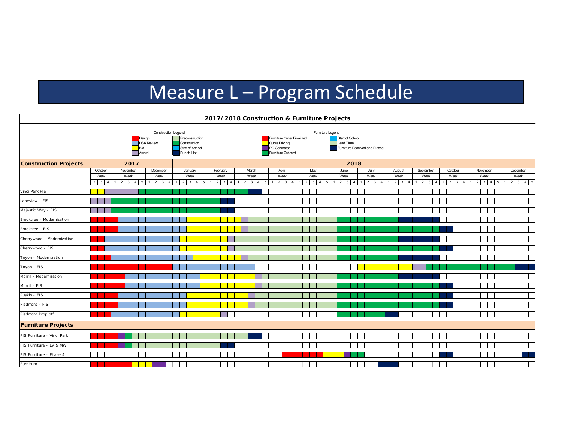## Measure L – Program Schedule

| 2017/2018 Construction & Furniture Projects |                                                                           |                                                          |                                            |                                             |                                                                                                                                                                         |                                              |   |                                   |                |                                                           |                                                               |                                   |                                                       |                                     |                                    |                                                       |                                         |
|---------------------------------------------|---------------------------------------------------------------------------|----------------------------------------------------------|--------------------------------------------|---------------------------------------------|-------------------------------------------------------------------------------------------------------------------------------------------------------------------------|----------------------------------------------|---|-----------------------------------|----------------|-----------------------------------------------------------|---------------------------------------------------------------|-----------------------------------|-------------------------------------------------------|-------------------------------------|------------------------------------|-------------------------------------------------------|-----------------------------------------|
|                                             | <b>Construction Legend</b><br>Design<br><b>DSA Review</b><br>Bid<br>Award |                                                          |                                            |                                             | Furniture Legend<br>Furniture Order Finalized<br>Preconstruction<br>Quote Pricing<br>Construction<br>PO Generated<br>Start of School<br>Furniture Ordered<br>Punch List |                                              |   |                                   |                |                                                           | Start of School<br>Lead Time<br>Furniture Received and Placed |                                   |                                                       |                                     |                                    |                                                       |                                         |
| <b>Construction Projects</b>                |                                                                           | 2017                                                     |                                            |                                             | 2018                                                                                                                                                                    |                                              |   |                                   |                |                                                           |                                                               |                                   |                                                       |                                     |                                    |                                                       |                                         |
|                                             | October<br>Week<br>$2 \mid 3 \mid$<br>$\overline{4}$                      | November<br>Week<br>$2 \mid 3 \mid 4$<br>$5\overline{5}$ | December<br>Week<br>$2 \mid 3 \mid 4$<br>1 | January<br>Week<br>$2 \quad 3 \quad 4$<br>5 | February<br>Week<br>$1 \quad 2 \quad 3$<br>$\mathbf{A}$                                                                                                                 | March<br>Week<br>$1 \quad 2 \quad 3 \quad 4$ | 5 | April<br>Week<br>$2 \overline{3}$ | $\overline{4}$ | May<br>Week<br>$1 \quad 2 \quad 3$<br>$\overline{4}$<br>5 | June<br>Week<br>$2 \mid 3 \mid 4$                             | July<br>Week<br>$1 \mid 2 \mid 3$ | August<br>Week<br>$1 \mid 2 \mid 3$<br>$\overline{4}$ | September<br>Week<br>$\overline{2}$ | October<br>Week<br>$\sqrt{2}$<br>3 | November<br>Week<br>3 <sup>1</sup><br>$4 \mid 5$<br>2 | December<br>Week<br>$1 \ 2 \ 3 \ 4 \ 5$ |
| Vinci Park FIS                              |                                                                           |                                                          |                                            |                                             |                                                                                                                                                                         |                                              |   |                                   |                |                                                           |                                                               |                                   |                                                       |                                     |                                    |                                                       |                                         |
| Laneview - FIS                              |                                                                           |                                                          |                                            |                                             |                                                                                                                                                                         |                                              |   |                                   |                |                                                           |                                                               |                                   |                                                       |                                     |                                    |                                                       |                                         |
| Majestic Way - FIS                          |                                                                           |                                                          |                                            |                                             |                                                                                                                                                                         |                                              |   |                                   |                |                                                           |                                                               |                                   |                                                       |                                     |                                    |                                                       |                                         |
| Brooktree - Modernization                   |                                                                           |                                                          |                                            |                                             |                                                                                                                                                                         |                                              |   |                                   |                |                                                           |                                                               |                                   |                                                       |                                     |                                    |                                                       |                                         |
| Brooktree - FIS                             |                                                                           |                                                          |                                            |                                             |                                                                                                                                                                         |                                              |   |                                   |                |                                                           |                                                               |                                   |                                                       |                                     |                                    |                                                       |                                         |
| Cherrywood - Modernization                  |                                                                           |                                                          |                                            |                                             |                                                                                                                                                                         |                                              |   |                                   |                |                                                           |                                                               |                                   |                                                       |                                     |                                    |                                                       |                                         |
| Cherrywood - FIS                            |                                                                           |                                                          |                                            |                                             |                                                                                                                                                                         |                                              |   |                                   |                |                                                           |                                                               |                                   |                                                       |                                     |                                    |                                                       |                                         |
| Toyon - Modernization                       |                                                                           |                                                          |                                            |                                             |                                                                                                                                                                         |                                              |   |                                   |                |                                                           |                                                               |                                   |                                                       |                                     |                                    |                                                       |                                         |
| Toyon - FIS                                 |                                                                           |                                                          |                                            |                                             |                                                                                                                                                                         |                                              |   |                                   |                |                                                           |                                                               |                                   |                                                       |                                     |                                    |                                                       |                                         |
| Morrill - Modernization                     |                                                                           |                                                          |                                            |                                             |                                                                                                                                                                         |                                              |   |                                   |                |                                                           |                                                               |                                   |                                                       |                                     |                                    |                                                       |                                         |
| Morrill - FIS                               |                                                                           |                                                          |                                            |                                             |                                                                                                                                                                         |                                              |   |                                   |                |                                                           |                                                               |                                   |                                                       |                                     |                                    |                                                       |                                         |
| Ruskin - FIS                                |                                                                           |                                                          |                                            |                                             |                                                                                                                                                                         |                                              |   |                                   |                |                                                           |                                                               |                                   |                                                       |                                     |                                    |                                                       |                                         |
| Piedmont - FIS                              |                                                                           |                                                          |                                            |                                             |                                                                                                                                                                         |                                              |   |                                   |                |                                                           |                                                               |                                   |                                                       |                                     |                                    |                                                       |                                         |
| Piedmont Drop off                           |                                                                           |                                                          |                                            |                                             |                                                                                                                                                                         |                                              |   |                                   |                |                                                           |                                                               |                                   |                                                       |                                     |                                    |                                                       |                                         |
| <b>Furniture Projects</b>                   |                                                                           |                                                          |                                            |                                             |                                                                                                                                                                         |                                              |   |                                   |                |                                                           |                                                               |                                   |                                                       |                                     |                                    |                                                       |                                         |
| FIS Furniture - Vinci Park                  |                                                                           |                                                          |                                            |                                             |                                                                                                                                                                         |                                              |   |                                   |                |                                                           |                                                               |                                   |                                                       |                                     |                                    |                                                       |                                         |
| FIS Furniture - LV & MW                     |                                                                           |                                                          |                                            |                                             |                                                                                                                                                                         |                                              |   |                                   |                |                                                           |                                                               |                                   |                                                       |                                     |                                    |                                                       |                                         |
| FIS Furniture - Phase 4                     |                                                                           |                                                          |                                            |                                             |                                                                                                                                                                         |                                              |   |                                   |                |                                                           |                                                               |                                   |                                                       |                                     |                                    |                                                       |                                         |
| Furniture                                   |                                                                           |                                                          |                                            |                                             |                                                                                                                                                                         |                                              |   |                                   |                |                                                           |                                                               |                                   |                                                       |                                     |                                    |                                                       |                                         |